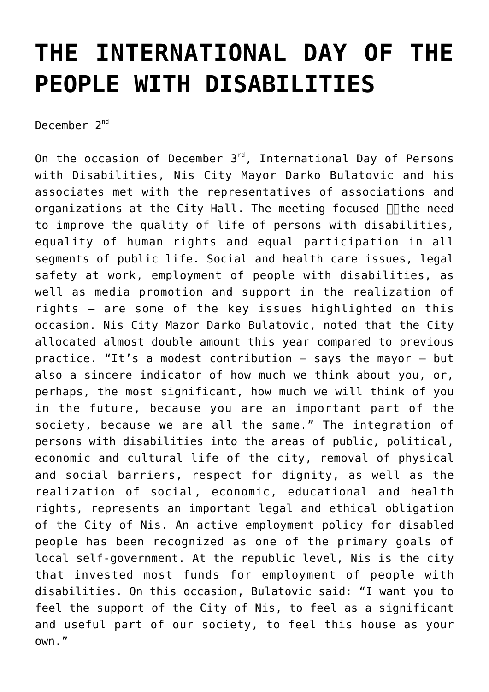## **[THE INTERNATIONAL DAY OF THE](https://www.gu.ni.rs/2017/12/02/the-international-day-of-the-people-with-disabilities/) [PEOPLE WITH DISABILITIES](https://www.gu.ni.rs/2017/12/02/the-international-day-of-the-people-with-disabilities/)**

December 2<sup>nd</sup>

On the occasion of December 3<sup>rd</sup>, International Day of Persons with Disabilities, Nis City Mayor Darko Bulatovic and his associates met with the representatives of associations and organizations at the City Hall. The meeting focused  $\Box\Box$  the need to improve the quality of life of persons with disabilities, equality of human rights and equal participation in all segments of public life. Social and health care issues, legal safety at work, employment of people with disabilities, as well as media promotion and support in the realization of rights – are some of the key issues highlighted on this occasion. Nis City Mazor Darko Bulatovic, noted that the City allocated almost double amount this year compared to previous practice. "It's a modest contribution – says the mayor – but also a sincere indicator of how much we think about you, or, perhaps, the most significant, how much we will think of you in the future, because you are an important part of the society, because we are all the same." The integration of persons with disabilities into the areas of public, political, economic and cultural life of the city, removal of physical and social barriers, respect for dignity, as well as the realization of social, economic, educational and health rights, represents an important legal and ethical obligation of the City of Nis. An active employment policy for disabled people has been recognized as one of the primary goals of local self-government. At the republic level, Nis is the city that invested most funds for employment of people with disabilities. On this occasion, Bulatovic said: "I want you to feel the support of the City of Nis, to feel as a significant and useful part of our society, to feel this house as your own."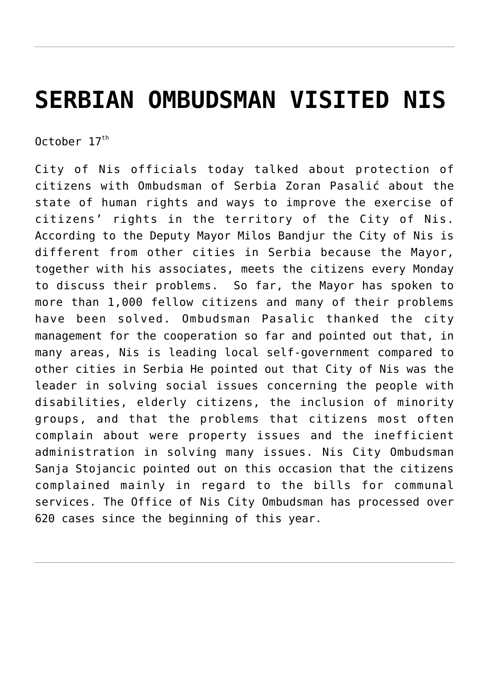## **[SERBIAN OMBUDSMAN VISITED NIS](https://www.gu.ni.rs/2017/10/17/serbian-ombudsman-visited-nis/)**

October  $17<sup>th</sup>$ 

City of Nis officials today talked about protection of citizens with Ombudsman of Serbia Zoran Pasalić about the state of human rights and ways to improve the exercise of citizens' rights in the territory of the City of Nis. According to the Deputy Mayor Milos Bandjur the City of Nis is different from other cities in Serbia because the Mayor, together with his associates, meets the citizens every Monday to discuss their problems. So far, the Mayor has spoken to more than 1,000 fellow citizens and many of their problems have been solved. Ombudsman Pasalic thanked the city management for the cooperation so far and pointed out that, in many areas, Nis is leading local self-government compared to other cities in Serbia He pointed out that City of Nis was the leader in solving social issues concerning the people with disabilities, elderly citizens, the inclusion of minority groups, and that the problems that citizens most often complain about were property issues and the inefficient administration in solving many issues. Nis City Ombudsman Sanja Stojancic pointed out on this occasion that the citizens complained mainly in regard to the bills for communal services. The Office of Nis City Ombudsman has processed over 620 cases since the beginning of this year.